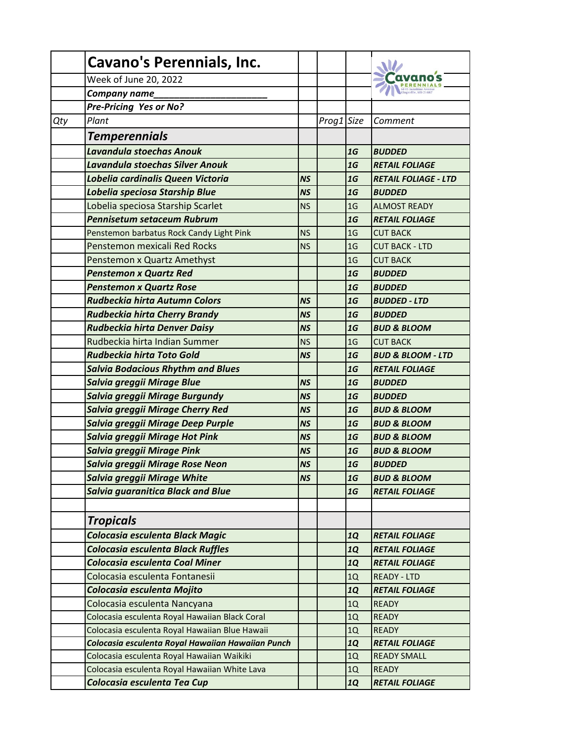|     | <b>Cavano's Perennials, Inc.</b>                  |           |            |                |                              |
|-----|---------------------------------------------------|-----------|------------|----------------|------------------------------|
|     | Week of June 20, 2022                             |           |            |                |                              |
|     | Company name                                      |           |            |                |                              |
|     | Pre-Pricing Yes or No?                            |           |            |                |                              |
| Qty | Plant                                             |           | Prog1 Size |                | Comment                      |
|     | <b>Temperennials</b>                              |           |            |                |                              |
|     | Lavandula stoechas Anouk                          |           |            | 1G             | <b>BUDDED</b>                |
|     | Lavandula stoechas Silver Anouk                   |           |            | 1G             | <b>RETAIL FOLIAGE</b>        |
|     | Lobelia cardinalis Queen Victoria                 | <b>NS</b> |            | 1G             | <b>RETAIL FOLIAGE - LTD</b>  |
|     | Lobelia speciosa Starship Blue                    | <b>NS</b> |            | 1G             | <b>BUDDED</b>                |
|     | Lobelia speciosa Starship Scarlet                 | <b>NS</b> |            | 1 <sub>G</sub> | <b>ALMOST READY</b>          |
|     | <b>Pennisetum setaceum Rubrum</b>                 |           |            | 1G             | <b>RETAIL FOLIAGE</b>        |
|     | Penstemon barbatus Rock Candy Light Pink          | <b>NS</b> |            | 1 <sub>G</sub> | <b>CUT BACK</b>              |
|     | Penstemon mexicali Red Rocks                      | <b>NS</b> |            | 1 <sub>G</sub> | <b>CUT BACK - LTD</b>        |
|     | Penstemon x Quartz Amethyst                       |           |            | 1 <sub>G</sub> | <b>CUT BACK</b>              |
|     | <b>Penstemon x Quartz Red</b>                     |           |            | 1G             | <b>BUDDED</b>                |
|     | <b>Penstemon x Quartz Rose</b>                    |           |            | 1G             | <b>BUDDED</b>                |
|     | <b>Rudbeckia hirta Autumn Colors</b>              | <b>NS</b> |            | 1G             | <b>BUDDED - LTD</b>          |
|     | <b>Rudbeckia hirta Cherry Brandy</b>              | <b>NS</b> |            | 1G             | <b>BUDDED</b>                |
|     | Rudbeckia hirta Denver Daisy                      | <b>NS</b> |            | 1G             | <b>BUD &amp; BLOOM</b>       |
|     | Rudbeckia hirta Indian Summer                     | <b>NS</b> |            | 1 <sub>G</sub> | <b>CUT BACK</b>              |
|     | <b>Rudbeckia hirta Toto Gold</b>                  | <b>NS</b> |            | 1G             | <b>BUD &amp; BLOOM - LTD</b> |
|     | <b>Salvia Bodacious Rhythm and Blues</b>          |           |            | 1G             | <b>RETAIL FOLIAGE</b>        |
|     | Salvia greggii Mirage Blue                        | <b>NS</b> |            | 1G             | <b>BUDDED</b>                |
|     | Salvia greggii Mirage Burgundy                    | <b>NS</b> |            | 1G             | <b>BUDDED</b>                |
|     | Salvia greggii Mirage Cherry Red                  | <b>NS</b> |            | 1G             | <b>BUD &amp; BLOOM</b>       |
|     | Salvia greggii Mirage Deep Purple                 | <b>NS</b> |            | 1G             | <b>BUD &amp; BLOOM</b>       |
|     | Salvia greggii Mirage Hot Pink                    | <b>NS</b> |            | 1G             | <b>BUD &amp; BLOOM</b>       |
|     | Salvia greggii Mirage Pink                        | <b>NS</b> |            | 1G             | <b>BUD &amp; BLOOM</b>       |
|     | Salvia greggii Mirage Rose Neon                   | <b>NS</b> |            | 1G             | <b>BUDDED</b>                |
|     | Salvia greggii Mirage White                       | <b>NS</b> |            | 1G             | <b>BUD &amp; BLOOM</b>       |
|     | <b>Salvia guaranitica Black and Blue</b>          |           |            | 1G             | <b>RETAIL FOLIAGE</b>        |
|     |                                                   |           |            |                |                              |
|     | <b>Tropicals</b>                                  |           |            |                |                              |
|     | Colocasia esculenta Black Magic                   |           |            | <b>1Q</b>      | <b>RETAIL FOLIAGE</b>        |
|     | Colocasia esculenta Black Ruffles                 |           |            | <b>1Q</b>      | <b>RETAIL FOLIAGE</b>        |
|     | Colocasia esculenta Coal Miner                    |           |            | <b>1Q</b>      | <b>RETAIL FOLIAGE</b>        |
|     | Colocasia esculenta Fontanesii                    |           |            | 1Q             | <b>READY - LTD</b>           |
|     | Colocasia esculenta Mojito                        |           |            | <b>1Q</b>      | <b>RETAIL FOLIAGE</b>        |
|     | Colocasia esculenta Nancyana                      |           |            | 1Q             | <b>READY</b>                 |
|     | Colocasia esculenta Royal Hawaiian Black Coral    |           |            | 1Q             | <b>READY</b>                 |
|     | Colocasia esculenta Royal Hawaiian Blue Hawaii    |           |            | 1Q             | <b>READY</b>                 |
|     | Colocasia esculenta Royal Hawaiian Hawaiian Punch |           |            | <b>1Q</b>      | <b>RETAIL FOLIAGE</b>        |
|     | Colocasia esculenta Royal Hawaiian Waikiki        |           |            | 1Q             | <b>READY SMALL</b>           |
|     | Colocasia esculenta Royal Hawaiian White Lava     |           |            | 1Q             | <b>READY</b>                 |
|     | Colocasia esculenta Tea Cup                       |           |            | <b>1Q</b>      | <b>RETAIL FOLIAGE</b>        |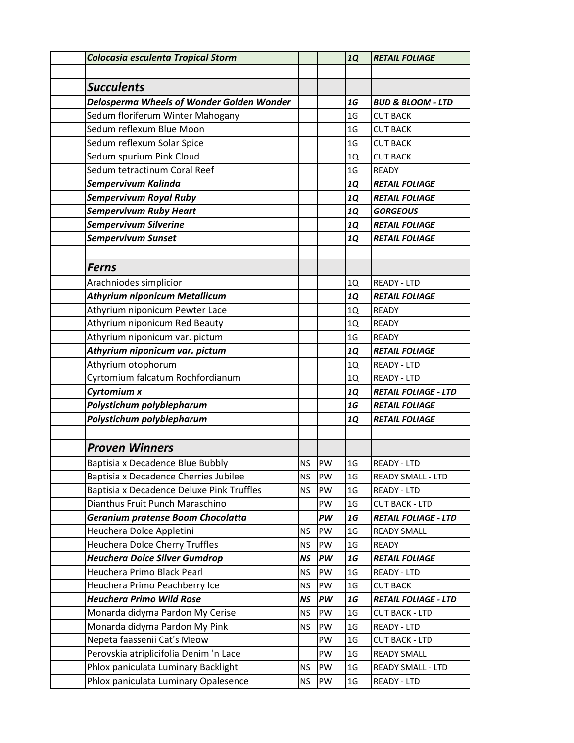| Colocasia esculenta Tropical Storm        |           |    | <b>1Q</b>       | <b>RETAIL FOLIAGE</b>        |
|-------------------------------------------|-----------|----|-----------------|------------------------------|
|                                           |           |    |                 |                              |
| <b>Succulents</b>                         |           |    |                 |                              |
| Delosperma Wheels of Wonder Golden Wonder |           |    | 1G              | <b>BUD &amp; BLOOM - LTD</b> |
| Sedum floriferum Winter Mahogany          |           |    | 1 <sub>G</sub>  | <b>CUT BACK</b>              |
| Sedum reflexum Blue Moon                  |           |    | 1 <sub>G</sub>  | <b>CUT BACK</b>              |
| Sedum reflexum Solar Spice                |           |    | 1 <sub>G</sub>  | <b>CUT BACK</b>              |
| Sedum spurium Pink Cloud                  |           |    | 1Q              | <b>CUT BACK</b>              |
| Sedum tetractinum Coral Reef              |           |    | 1 <sub>G</sub>  | <b>READY</b>                 |
| Sempervivum Kalinda                       |           |    | <b>1Q</b>       | <b>RETAIL FOLIAGE</b>        |
| <b>Sempervivum Royal Ruby</b>             |           |    | 1Q              | <b>RETAIL FOLIAGE</b>        |
| <b>Sempervivum Ruby Heart</b>             |           |    | <b>1Q</b>       | <b>GORGEOUS</b>              |
| <b>Sempervivum Silverine</b>              |           |    | <b>1Q</b>       | <b>RETAIL FOLIAGE</b>        |
| Sempervivum Sunset                        |           |    | <b>1Q</b>       | <b>RETAIL FOLIAGE</b>        |
|                                           |           |    |                 |                              |
| <b>Ferns</b>                              |           |    |                 |                              |
| Arachniodes simplicior                    |           |    | 1Q              | <b>READY - LTD</b>           |
| <b>Athyrium niponicum Metallicum</b>      |           |    | <b>1Q</b>       | <b>RETAIL FOLIAGE</b>        |
| Athyrium niponicum Pewter Lace            |           |    | 1Q              | <b>READY</b>                 |
| Athyrium niponicum Red Beauty             |           |    | 1Q              | <b>READY</b>                 |
| Athyrium niponicum var. pictum            |           |    | 1 <sub>G</sub>  | <b>READY</b>                 |
| Athyrium niponicum var. pictum            |           |    | <b>1Q</b>       | <b>RETAIL FOLIAGE</b>        |
| Athyrium otophorum                        |           |    | 1Q              | <b>READY - LTD</b>           |
| Cyrtomium falcatum Rochfordianum          |           |    | 1Q              | <b>READY - LTD</b>           |
| Cyrtomium x                               |           |    | <b>1Q</b>       | <b>RETAIL FOLIAGE - LTD</b>  |
| Polystichum polyblepharum                 |           |    | 1G              | <b>RETAIL FOLIAGE</b>        |
| Polystichum polyblepharum                 |           |    | <b>1Q</b>       | <b>RETAIL FOLIAGE</b>        |
|                                           |           |    |                 |                              |
| <b>Proven Winners</b>                     |           |    |                 |                              |
| Baptisia x Decadence Blue Bubbly          | <b>NS</b> | PW | 1 <sub>G</sub>  | <b>READY - LTD</b>           |
| Baptisia x Decadence Cherries Jubilee     | <b>NS</b> | PW | 1 <sub>G</sub>  | <b>READY SMALL - LTD</b>     |
| Baptisia x Decadence Deluxe Pink Truffles | NS.       | PW | 1 <sub>G</sub>  | READY - LTD                  |
| Dianthus Fruit Punch Maraschino           |           | PW | 1 <sub>G</sub>  | <b>CUT BACK - LTD</b>        |
| Geranium pratense Boom Chocolatta         |           | PW | 1G              | <b>RETAIL FOLIAGE - LTD</b>  |
| Heuchera Dolce Appletini                  | <b>NS</b> | PW | 1 <sub>G</sub>  | <b>READY SMALL</b>           |
| Heuchera Dolce Cherry Truffles            | <b>NS</b> | PW | 1 <sub>G</sub>  | <b>READY</b>                 |
| <b>Heuchera Dolce Silver Gumdrop</b>      | NS        | PW | 1G              | <b>RETAIL FOLIAGE</b>        |
| Heuchera Primo Black Pearl                | <b>NS</b> | PW | 1 <sub>G</sub>  | READY - LTD                  |
| Heuchera Primo Peachberry Ice             | NS.       | PW | $1\,\rm{G}$     | <b>CUT BACK</b>              |
| <b>Heuchera Primo Wild Rose</b>           | NS        | PW | <b>1G</b>       | <b>RETAIL FOLIAGE - LTD</b>  |
| Monarda didyma Pardon My Cerise           | <b>NS</b> | PW | 1 <sub>G</sub>  | <b>CUT BACK - LTD</b>        |
| Monarda didyma Pardon My Pink             | <b>NS</b> | PW | 1 <sub>G</sub>  | READY - LTD                  |
| Nepeta faassenii Cat's Meow               |           | PW | 1 <sub>G</sub>  | <b>CUT BACK - LTD</b>        |
| Perovskia atriplicifolia Denim 'n Lace    |           | PW | 1 <sub>G</sub>  | <b>READY SMALL</b>           |
| Phlox paniculata Luminary Backlight       | <b>NS</b> | PW | 1 <sub>G</sub>  | <b>READY SMALL - LTD</b>     |
| Phlox paniculata Luminary Opalesence      | NS.       | PW | $1\,\mathrm{G}$ | READY - LTD                  |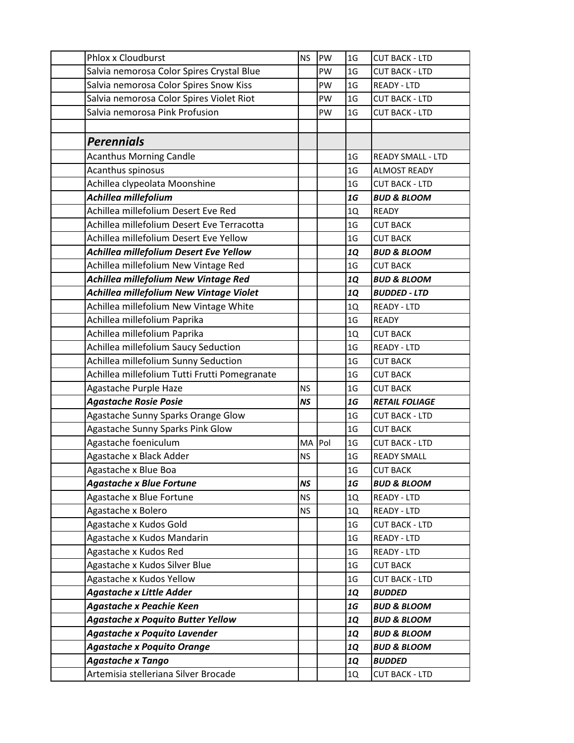| Phlox x Cloudburst                            | <b>NS</b> | PW | 1 <sub>G</sub> | <b>CUT BACK - LTD</b>    |
|-----------------------------------------------|-----------|----|----------------|--------------------------|
| Salvia nemorosa Color Spires Crystal Blue     |           | PW | 1 <sub>G</sub> | <b>CUT BACK - LTD</b>    |
| Salvia nemorosa Color Spires Snow Kiss        |           | PW | 1 <sub>G</sub> | <b>READY - LTD</b>       |
| Salvia nemorosa Color Spires Violet Riot      |           | PW | 1 <sub>G</sub> | <b>CUT BACK - LTD</b>    |
| Salvia nemorosa Pink Profusion                |           | PW | 1 <sub>G</sub> | <b>CUT BACK - LTD</b>    |
|                                               |           |    |                |                          |
| <b>Perennials</b>                             |           |    |                |                          |
| <b>Acanthus Morning Candle</b>                |           |    | 1 <sub>G</sub> | <b>READY SMALL - LTD</b> |
| Acanthus spinosus                             |           |    | 1 <sub>G</sub> | <b>ALMOST READY</b>      |
| Achillea clypeolata Moonshine                 |           |    | 1 <sub>G</sub> | <b>CUT BACK - LTD</b>    |
| Achillea millefolium                          |           |    | 1G             | <b>BUD &amp; BLOOM</b>   |
| Achillea millefolium Desert Eve Red           |           |    | 1Q             | <b>READY</b>             |
| Achillea millefolium Desert Eve Terracotta    |           |    | 1 <sub>G</sub> | <b>CUT BACK</b>          |
| Achillea millefolium Desert Eve Yellow        |           |    | 1 <sub>G</sub> | <b>CUT BACK</b>          |
| Achillea millefolium Desert Eve Yellow        |           |    | <b>1Q</b>      | <b>BUD &amp; BLOOM</b>   |
| Achillea millefolium New Vintage Red          |           |    | 1 <sub>G</sub> | <b>CUT BACK</b>          |
| Achillea millefolium New Vintage Red          |           |    | <b>1Q</b>      | <b>BUD &amp; BLOOM</b>   |
| Achillea millefolium New Vintage Violet       |           |    | <b>1Q</b>      | <b>BUDDED - LTD</b>      |
| Achillea millefolium New Vintage White        |           |    | 1Q             | <b>READY - LTD</b>       |
| Achillea millefolium Paprika                  |           |    | 1 <sub>G</sub> | <b>READY</b>             |
| Achillea millefolium Paprika                  |           |    | 1Q             | <b>CUT BACK</b>          |
| Achillea millefolium Saucy Seduction          |           |    | 1 <sub>G</sub> | <b>READY - LTD</b>       |
| Achillea millefolium Sunny Seduction          |           |    | 1 <sub>G</sub> | <b>CUT BACK</b>          |
| Achillea millefolium Tutti Frutti Pomegranate |           |    | 1 <sub>G</sub> | <b>CUT BACK</b>          |
| Agastache Purple Haze                         | <b>NS</b> |    | 1 <sub>G</sub> | <b>CUT BACK</b>          |
| <b>Agastache Rosie Posie</b>                  | <b>NS</b> |    | 1G             | <b>RETAIL FOLIAGE</b>    |
| Agastache Sunny Sparks Orange Glow            |           |    | 1 <sub>G</sub> | <b>CUT BACK - LTD</b>    |
| Agastache Sunny Sparks Pink Glow              |           |    | 1 <sub>G</sub> | <b>CUT BACK</b>          |
| Agastache foeniculum                          | MA Pol    |    | 1 <sub>G</sub> | <b>CUT BACK - LTD</b>    |
| Agastache x Black Adder                       | <b>NS</b> |    | 1 <sub>G</sub> | <b>READY SMALL</b>       |
| Agastache x Blue Boa                          |           |    | $1\mathsf{G}$  | <b>CUT BACK</b>          |
| <b>Agastache x Blue Fortune</b>               | <b>NS</b> |    | <b>1G</b>      | <b>BUD &amp; BLOOM</b>   |
| Agastache x Blue Fortune                      | <b>NS</b> |    | 1Q             | READY - LTD              |
| Agastache x Bolero                            | <b>NS</b> |    | 1Q             | <b>READY - LTD</b>       |
| Agastache x Kudos Gold                        |           |    | 1G             | <b>CUT BACK - LTD</b>    |
| Agastache x Kudos Mandarin                    |           |    | 1 <sub>G</sub> | <b>READY - LTD</b>       |
| Agastache x Kudos Red                         |           |    | 1 <sub>G</sub> | READY - LTD              |
| Agastache x Kudos Silver Blue                 |           |    | 1 <sub>G</sub> | <b>CUT BACK</b>          |
| Agastache x Kudos Yellow                      |           |    | 1 <sub>G</sub> | <b>CUT BACK - LTD</b>    |
| <b>Agastache x Little Adder</b>               |           |    | <b>1Q</b>      | <b>BUDDED</b>            |
| <b>Agastache x Peachie Keen</b>               |           |    | <b>1G</b>      | <b>BUD &amp; BLOOM</b>   |
| <b>Agastache x Poquito Butter Yellow</b>      |           |    | <b>1Q</b>      | <b>BUD &amp; BLOOM</b>   |
| <b>Agastache x Poquito Lavender</b>           |           |    | <b>1Q</b>      | <b>BUD &amp; BLOOM</b>   |
| <b>Agastache x Poquito Orange</b>             |           |    | <b>1Q</b>      | <b>BUD &amp; BLOOM</b>   |
| <b>Agastache x Tango</b>                      |           |    | <b>1Q</b>      | <b>BUDDED</b>            |
| Artemisia stelleriana Silver Brocade          |           |    | 1Q             | <b>CUT BACK - LTD</b>    |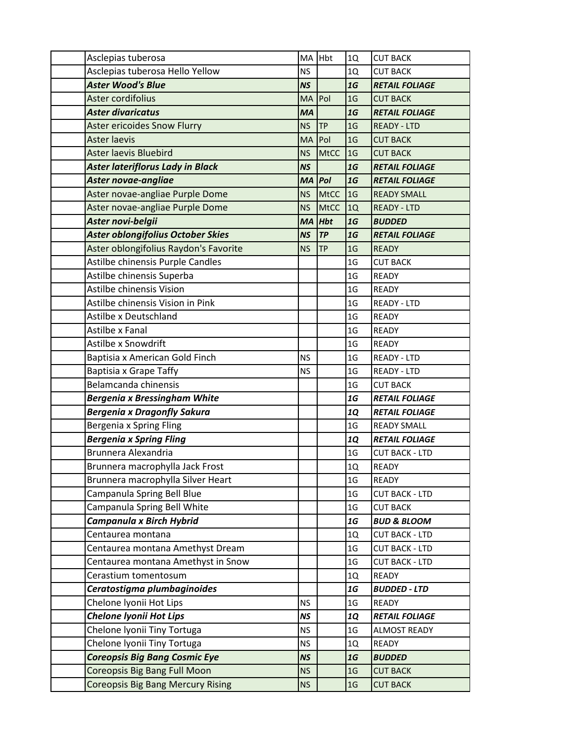| Asclepias tuberosa                       | MA        | Hbt         | 1Q             | <b>CUT BACK</b>        |
|------------------------------------------|-----------|-------------|----------------|------------------------|
| Asclepias tuberosa Hello Yellow          | <b>NS</b> |             | 1Q             | <b>CUT BACK</b>        |
| <b>Aster Wood's Blue</b>                 | <b>NS</b> |             | 1G             | <b>RETAIL FOLIAGE</b>  |
| Aster cordifolius                        | <b>MA</b> | Pol         | 1 <sub>G</sub> | <b>CUT BACK</b>        |
| <b>Aster divaricatus</b>                 | <b>MA</b> |             | 1G             | <b>RETAIL FOLIAGE</b>  |
| <b>Aster ericoides Snow Flurry</b>       | <b>NS</b> | <b>TP</b>   | 1 <sub>G</sub> | <b>READY - LTD</b>     |
| <b>Aster laevis</b>                      | <b>MA</b> | Pol         | 1 <sub>G</sub> | <b>CUT BACK</b>        |
| <b>Aster laevis Bluebird</b>             | <b>NS</b> | <b>MtCC</b> | 1 <sub>G</sub> | <b>CUT BACK</b>        |
| <b>Aster lateriflorus Lady in Black</b>  | <b>NS</b> |             | 1G             | <b>RETAIL FOLIAGE</b>  |
| <b>Aster novae-angliae</b>               | <b>MA</b> | Pol         | 1G             | <b>RETAIL FOLIAGE</b>  |
| Aster novae-angliae Purple Dome          | <b>NS</b> | <b>MtCC</b> | 1G             | <b>READY SMALL</b>     |
| Aster novae-angliae Purple Dome          | <b>NS</b> | <b>MtCC</b> | 1Q             | <b>READY - LTD</b>     |
| Aster novi-belgii                        | <b>MA</b> | <b>Hbt</b>  | 1G             | <b>BUDDED</b>          |
| Aster oblongifolius October Skies        | <b>NS</b> | TP          | 1G             | <b>RETAIL FOLIAGE</b>  |
| Aster oblongifolius Raydon's Favorite    | ΝS        | <b>TP</b>   | 1 <sub>G</sub> | <b>READY</b>           |
| Astilbe chinensis Purple Candles         |           |             | 1 <sub>G</sub> | <b>CUT BACK</b>        |
| Astilbe chinensis Superba                |           |             | 1 <sub>G</sub> | <b>READY</b>           |
| Astilbe chinensis Vision                 |           |             | 1 <sub>G</sub> | <b>READY</b>           |
| Astilbe chinensis Vision in Pink         |           |             | 1 <sub>G</sub> | <b>READY - LTD</b>     |
| Astilbe x Deutschland                    |           |             | 1 <sub>G</sub> | <b>READY</b>           |
| Astilbe x Fanal                          |           |             | 1 <sub>G</sub> | <b>READY</b>           |
| Astilbe x Snowdrift                      |           |             | 1 <sub>G</sub> | <b>READY</b>           |
| Baptisia x American Gold Finch           | <b>NS</b> |             | 1 <sub>G</sub> | <b>READY - LTD</b>     |
| Baptisia x Grape Taffy                   | <b>NS</b> |             | 1 <sub>G</sub> | <b>READY - LTD</b>     |
| Belamcanda chinensis                     |           |             | 1 <sub>G</sub> | <b>CUT BACK</b>        |
| <b>Bergenia x Bressingham White</b>      |           |             | 1G             | <b>RETAIL FOLIAGE</b>  |
| <b>Bergenia x Dragonfly Sakura</b>       |           |             | <b>1Q</b>      | <b>RETAIL FOLIAGE</b>  |
| Bergenia x Spring Fling                  |           |             | 1 <sub>G</sub> | <b>READY SMALL</b>     |
| <b>Bergenia x Spring Fling</b>           |           |             | <b>1Q</b>      | <b>RETAIL FOLIAGE</b>  |
| Brunnera Alexandria                      |           |             | 1G             | <b>CUT BACK - LTD</b>  |
| Brunnera macrophylla Jack Frost          |           |             | 1Q             | <b>READY</b>           |
| Brunnera macrophylla Silver Heart        |           |             | 1 <sub>G</sub> | <b>READY</b>           |
| Campanula Spring Bell Blue               |           |             | 1 <sub>G</sub> | <b>CUT BACK - LTD</b>  |
| Campanula Spring Bell White              |           |             | 1 <sub>G</sub> | <b>CUT BACK</b>        |
| Campanula x Birch Hybrid                 |           |             | 1G             | <b>BUD &amp; BLOOM</b> |
| Centaurea montana                        |           |             | 1Q             | <b>CUT BACK - LTD</b>  |
| Centaurea montana Amethyst Dream         |           |             | 1 <sub>G</sub> | <b>CUT BACK - LTD</b>  |
| Centaurea montana Amethyst in Snow       |           |             | 1 <sub>G</sub> | <b>CUT BACK - LTD</b>  |
| Cerastium tomentosum                     |           |             | 1Q             | <b>READY</b>           |
| Ceratostigma plumbaginoides              |           |             | 1G             | <b>BUDDED - LTD</b>    |
| Chelone Iyonii Hot Lips                  | <b>NS</b> |             | 1 <sub>G</sub> | <b>READY</b>           |
| <b>Chelone Iyonii Hot Lips</b>           | <b>NS</b> |             | <b>1Q</b>      | <b>RETAIL FOLIAGE</b>  |
| Chelone Iyonii Tiny Tortuga              | <b>NS</b> |             | 1 <sub>G</sub> | <b>ALMOST READY</b>    |
| Chelone Iyonii Tiny Tortuga              | <b>NS</b> |             | 1Q             | READY                  |
| <b>Coreopsis Big Bang Cosmic Eye</b>     | <b>NS</b> |             | 1G             | <b>BUDDED</b>          |
| Coreopsis Big Bang Full Moon             | <b>NS</b> |             | 1 <sub>G</sub> | <b>CUT BACK</b>        |
| <b>Coreopsis Big Bang Mercury Rising</b> | <b>NS</b> |             | 1 <sub>G</sub> | <b>CUT BACK</b>        |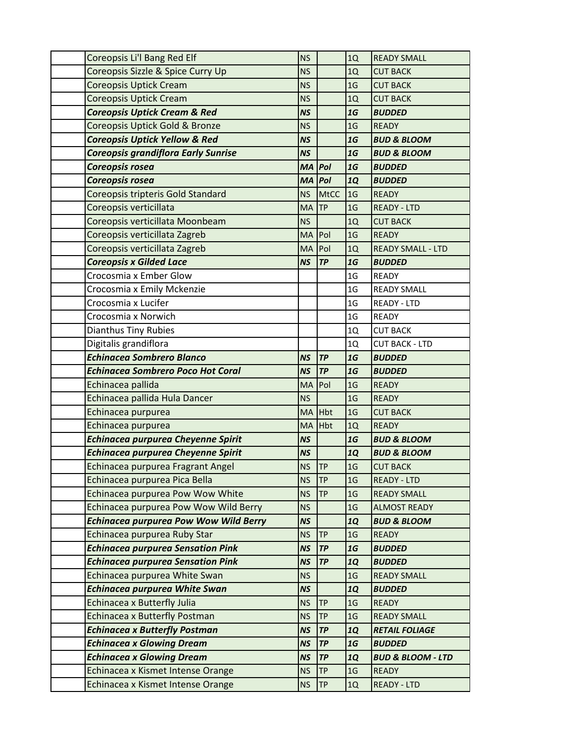| Coreopsis Li'l Bang Red Elf                                                  | <b>NS</b>              |             | 1Q                          | <b>READY SMALL</b>                     |
|------------------------------------------------------------------------------|------------------------|-------------|-----------------------------|----------------------------------------|
| Coreopsis Sizzle & Spice Curry Up                                            | <b>NS</b>              |             | 1Q                          | <b>CUT BACK</b>                        |
| <b>Coreopsis Uptick Cream</b>                                                | <b>NS</b>              |             | 1 <sub>G</sub>              | <b>CUT BACK</b>                        |
| <b>Coreopsis Uptick Cream</b>                                                | <b>NS</b>              |             | 1Q                          | <b>CUT BACK</b>                        |
| <b>Coreopsis Uptick Cream &amp; Red</b>                                      | <b>NS</b>              |             | 1G                          | <b>BUDDED</b>                          |
| Coreopsis Uptick Gold & Bronze                                               | <b>NS</b>              |             | 1 <sub>G</sub>              | <b>READY</b>                           |
| <b>Coreopsis Uptick Yellow &amp; Red</b>                                     | <b>NS</b>              |             | 1G                          | <b>BUD &amp; BLOOM</b>                 |
| <b>Coreopsis grandiflora Early Sunrise</b>                                   | <b>NS</b>              |             | 1G                          | <b>BUD &amp; BLOOM</b>                 |
| Coreopsis rosea                                                              | <b>MA</b>              | Pol         | 1G                          | <b>BUDDED</b>                          |
| Coreopsis rosea                                                              | <b>MA</b>              | Pol         | <b>1Q</b>                   | <b>BUDDED</b>                          |
| Coreopsis tripteris Gold Standard                                            | <b>NS</b>              | <b>MtCC</b> | 1 <sub>G</sub>              | <b>READY</b>                           |
| Coreopsis verticillata                                                       | <b>MA</b>              | <b>TP</b>   | 1 <sub>G</sub>              | <b>READY - LTD</b>                     |
| Coreopsis verticillata Moonbeam                                              | <b>NS</b>              |             | 1Q                          | <b>CUT BACK</b>                        |
| Coreopsis verticillata Zagreb                                                | MA                     | Pol         | 1 <sub>G</sub>              | <b>READY</b>                           |
| Coreopsis verticillata Zagreb                                                | MA                     | Pol         | 1Q                          | <b>READY SMALL - LTD</b>               |
| <b>Coreopsis x Gilded Lace</b>                                               | <b>NS</b>              | TP          | 1G                          | <b>BUDDED</b>                          |
| Crocosmia x Ember Glow                                                       |                        |             | 1 <sub>G</sub>              | <b>READY</b>                           |
| Crocosmia x Emily Mckenzie                                                   |                        |             | 1 <sub>G</sub>              | <b>READY SMALL</b>                     |
| Crocosmia x Lucifer                                                          |                        |             | 1 <sub>G</sub>              | <b>READY - LTD</b>                     |
| Crocosmia x Norwich                                                          |                        |             | 1 <sub>G</sub>              | <b>READY</b>                           |
| <b>Dianthus Tiny Rubies</b>                                                  |                        |             | 1Q                          | <b>CUT BACK</b>                        |
| Digitalis grandiflora                                                        |                        |             | 1Q                          | <b>CUT BACK - LTD</b>                  |
| <b>Echinacea Sombrero Blanco</b>                                             | <b>NS</b>              | <b>TP</b>   | 1G                          | <b>BUDDED</b>                          |
| <b>Echinacea Sombrero Poco Hot Coral</b>                                     | <b>NS</b>              | TP          | 1G                          | <b>BUDDED</b>                          |
| Echinacea pallida                                                            | MA                     | Pol         | 1 <sub>G</sub>              | <b>READY</b>                           |
| Echinacea pallida Hula Dancer                                                | <b>NS</b>              |             | 1 <sub>G</sub>              | <b>READY</b>                           |
| Echinacea purpurea                                                           | MA                     | <b>Hbt</b>  | 1 <sub>G</sub>              | <b>CUT BACK</b>                        |
| Echinacea purpurea                                                           | MA                     | Hbt         | 1Q                          | <b>READY</b>                           |
| <b>Echinacea purpurea Cheyenne Spirit</b>                                    | <b>NS</b>              |             | 1G                          | <b>BUD &amp; BLOOM</b>                 |
| <b>Echinacea purpurea Cheyenne Spirit</b>                                    | <b>NS</b>              |             | <b>1Q</b>                   | <b>BUD &amp; BLOOM</b>                 |
| Echinacea purpurea Fragrant Angel                                            | <b>NS</b>              | <b>TP</b>   | 1 <sub>G</sub>              | <b>CUT BACK</b>                        |
| Echinacea purpurea Pica Bella                                                | <b>NS</b>              | <b>TP</b>   | 1 <sub>G</sub>              | <b>READY - LTD</b>                     |
| Echinacea purpurea Pow Wow White                                             | <b>NS</b>              | TP          | 1 <sub>G</sub>              | <b>READY SMALL</b>                     |
| Echinacea purpurea Pow Wow Wild Berry                                        | <b>NS</b>              |             | 1 <sub>G</sub>              | <b>ALMOST READY</b>                    |
| <b>Echinacea purpurea Pow Wow Wild Berry</b><br>Echinacea purpurea Ruby Star | <b>NS</b>              | TP          | <b>1Q</b><br>1 <sub>G</sub> | <b>BUD &amp; BLOOM</b><br><b>READY</b> |
| <b>Echinacea purpurea Sensation Pink</b>                                     | <b>NS</b><br><b>NS</b> | TP          | 1G                          | <b>BUDDED</b>                          |
| <b>Echinacea purpurea Sensation Pink</b>                                     | <b>NS</b>              | TP          |                             |                                        |
|                                                                              |                        |             | <b>1Q</b>                   | <b>BUDDED</b><br><b>READY SMALL</b>    |
| Echinacea purpurea White Swan<br><b>Echinacea purpurea White Swan</b>        | <b>NS</b><br><b>NS</b> |             | 1 <sub>G</sub><br><b>1Q</b> | <b>BUDDED</b>                          |
| Echinacea x Butterfly Julia                                                  | <b>NS</b>              | <b>TP</b>   | 1 <sub>G</sub>              | <b>READY</b>                           |
| <b>Echinacea x Butterfly Postman</b>                                         | <b>NS</b>              | <b>TP</b>   | 1 <sub>G</sub>              | <b>READY SMALL</b>                     |
| <b>Echinacea x Butterfly Postman</b>                                         | <b>NS</b>              | TP          | <b>1Q</b>                   | <b>RETAIL FOLIAGE</b>                  |
| <b>Echinacea x Glowing Dream</b>                                             | <b>NS</b>              | TP          | 1G                          | <b>BUDDED</b>                          |
| <b>Echinacea x Glowing Dream</b>                                             | <b>NS</b>              | TP          | <b>1Q</b>                   | <b>BUD &amp; BLOOM - LTD</b>           |
| Echinacea x Kismet Intense Orange                                            | <b>NS</b>              | <b>TP</b>   | 1 <sub>G</sub>              | <b>READY</b>                           |
| Echinacea x Kismet Intense Orange                                            | <b>NS</b>              | <b>TP</b>   | 1Q                          | <b>READY - LTD</b>                     |
|                                                                              |                        |             |                             |                                        |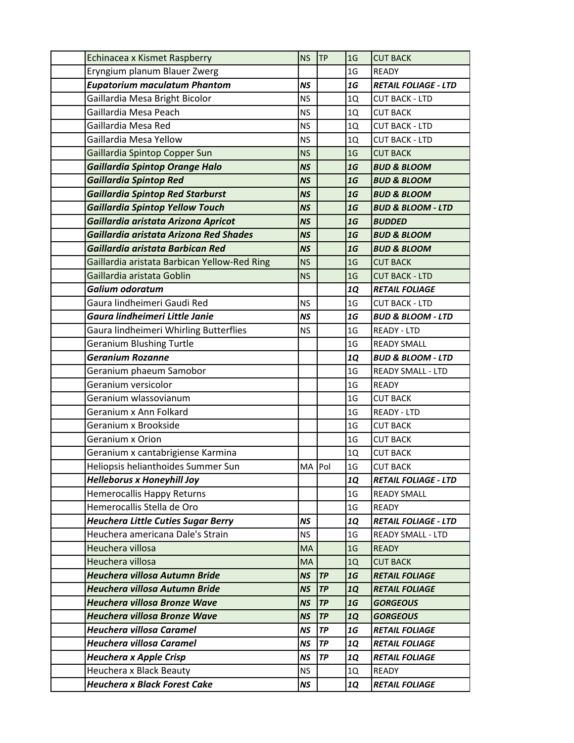| Echinacea x Kismet Raspberry                                           | <b>NS</b>              | <b>TP</b>       | 1 <sub>G</sub> | <b>CUT BACK</b>                       |
|------------------------------------------------------------------------|------------------------|-----------------|----------------|---------------------------------------|
| Eryngium planum Blauer Zwerg                                           |                        |                 | 1 <sub>G</sub> | <b>READY</b>                          |
| <b>Eupatorium maculatum Phantom</b>                                    | <b>NS</b>              |                 | 1G             | <b>RETAIL FOLIAGE - LTD</b>           |
| Gaillardia Mesa Bright Bicolor                                         | <b>NS</b>              |                 | 1Q             | <b>CUT BACK - LTD</b>                 |
| Gaillardia Mesa Peach                                                  | <b>NS</b>              |                 | 1Q             | <b>CUT BACK</b>                       |
| Gaillardia Mesa Red                                                    | <b>NS</b>              |                 | 1Q             | <b>CUT BACK - LTD</b>                 |
| Gaillardia Mesa Yellow                                                 | <b>NS</b>              |                 | 1Q             | <b>CUT BACK - LTD</b>                 |
| Gaillardia Spintop Copper Sun                                          | <b>NS</b>              |                 | 1 <sub>G</sub> | <b>CUT BACK</b>                       |
| Gaillardia Spintop Orange Halo                                         | <b>NS</b>              |                 | 1G             | <b>BUD &amp; BLOOM</b>                |
| <b>Gaillardia Spintop Red</b>                                          | <b>NS</b>              |                 | 1G             | <b>BUD &amp; BLOOM</b>                |
| <b>Gaillardia Spintop Red Starburst</b>                                | <b>NS</b>              |                 | 1G             | <b>BUD &amp; BLOOM</b>                |
| <b>Gaillardia Spintop Yellow Touch</b>                                 | <b>NS</b>              |                 | 1G             | <b>BUD &amp; BLOOM - LTD</b>          |
| Gaillardia aristata Arizona Apricot                                    | <b>NS</b>              |                 | 1G             | <b>BUDDED</b>                         |
| Gaillardia aristata Arizona Red Shades                                 | <b>NS</b>              |                 | 1G             | <b>BUD &amp; BLOOM</b>                |
| Gaillardia aristata Barbican Red                                       | <b>NS</b>              |                 | 1G             | <b>BUD &amp; BLOOM</b>                |
| Gaillardia aristata Barbican Yellow-Red Ring                           | <b>NS</b>              |                 | 1 <sub>G</sub> | <b>CUT BACK</b>                       |
| Gaillardia aristata Goblin                                             | <b>NS</b>              |                 | 1 <sub>G</sub> | <b>CUT BACK - LTD</b>                 |
| Galium odoratum                                                        |                        |                 | <b>1Q</b>      | <b>RETAIL FOLIAGE</b>                 |
| Gaura lindheimeri Gaudi Red                                            | <b>NS</b>              |                 | 1 <sub>G</sub> | <b>CUT BACK - LTD</b>                 |
| Gaura lindheimeri Little Janie                                         | <b>NS</b>              |                 | 1G             | <b>BUD &amp; BLOOM - LTD</b>          |
| Gaura lindheimeri Whirling Butterflies                                 | <b>NS</b>              |                 | 1 <sub>G</sub> | <b>READY - LTD</b>                    |
| <b>Geranium Blushing Turtle</b>                                        |                        |                 | 1 <sub>G</sub> | <b>READY SMALL</b>                    |
| <b>Geranium Rozanne</b>                                                |                        |                 | <b>1Q</b>      | <b>BUD &amp; BLOOM - LTD</b>          |
| Geranium phaeum Samobor                                                |                        |                 | 1 <sub>G</sub> | <b>READY SMALL - LTD</b>              |
| Geranium versicolor                                                    |                        |                 | 1 <sub>G</sub> | <b>READY</b>                          |
| Geranium wlassovianum                                                  |                        |                 | 1 <sub>G</sub> | <b>CUT BACK</b>                       |
| Geranium x Ann Folkard                                                 |                        |                 | 1 <sub>G</sub> | <b>READY - LTD</b>                    |
| Geranium x Brookside                                                   |                        |                 | 1 <sub>G</sub> | <b>CUT BACK</b>                       |
| Geranium x Orion                                                       |                        |                 | 1 <sub>G</sub> | <b>CUT BACK</b>                       |
| Geranium x cantabrigiense Karmina                                      |                        |                 | 1Q             | <b>CUT BACK</b>                       |
| Heliopsis helianthoides Summer Sun                                     | MA Pol                 |                 | 1 <sub>G</sub> | <b>CUT BACK</b>                       |
| <b>Helleborus x Honeyhill Joy</b>                                      |                        |                 | <b>1Q</b>      | <b>RETAIL FOLIAGE - LTD</b>           |
| Hemerocallis Happy Returns                                             |                        |                 | 1 <sub>G</sub> | <b>READY SMALL</b>                    |
| Hemerocallis Stella de Oro                                             |                        |                 | 1 <sub>G</sub> | READY                                 |
| <b>Heuchera Little Cuties Sugar Berry</b>                              | <b>NS</b>              |                 | <b>1Q</b>      | <b>RETAIL FOLIAGE - LTD</b>           |
| Heuchera americana Dale's Strain                                       | <b>NS</b>              |                 | 1 <sub>G</sub> | <b>READY SMALL - LTD</b>              |
| Heuchera villosa                                                       | MA                     |                 | 1 <sub>G</sub> | <b>READY</b>                          |
| Heuchera villosa                                                       | <b>MA</b>              |                 | 1Q             | <b>CUT BACK</b>                       |
| Heuchera villosa Autumn Bride                                          | <b>NS</b>              | <b>TP</b>       | 1G             | <b>RETAIL FOLIAGE</b>                 |
| Heuchera villosa Autumn Bride                                          | <b>NS</b>              | TP              | <b>1Q</b>      | <b>RETAIL FOLIAGE</b>                 |
| <b>Heuchera villosa Bronze Wave</b>                                    | <b>NS</b>              | <b>TP</b>       | 1G             | <b>GORGEOUS</b>                       |
| <b>Heuchera villosa Bronze Wave</b><br><b>Heuchera villosa Caramel</b> | <b>NS</b>              | TP<br><b>TP</b> | <b>1Q</b>      | <b>GORGEOUS</b>                       |
|                                                                        | <b>NS</b>              |                 | 1G             | <b>RETAIL FOLIAGE</b>                 |
| <b>Heuchera villosa Caramel</b>                                        | <b>NS</b><br><b>NS</b> | <b>TP</b><br>TP | <b>1Q</b>      | <b>RETAIL FOLIAGE</b>                 |
| <b>Heuchera x Apple Crisp</b>                                          | <b>NS</b>              |                 | <b>1Q</b>      | <b>RETAIL FOLIAGE</b><br><b>READY</b> |
| Heuchera x Black Beauty                                                |                        |                 | 1Q             |                                       |
| <b>Heuchera x Black Forest Cake</b>                                    | <b>NS</b>              |                 | 1Q             | <b>RETAIL FOLIAGE</b>                 |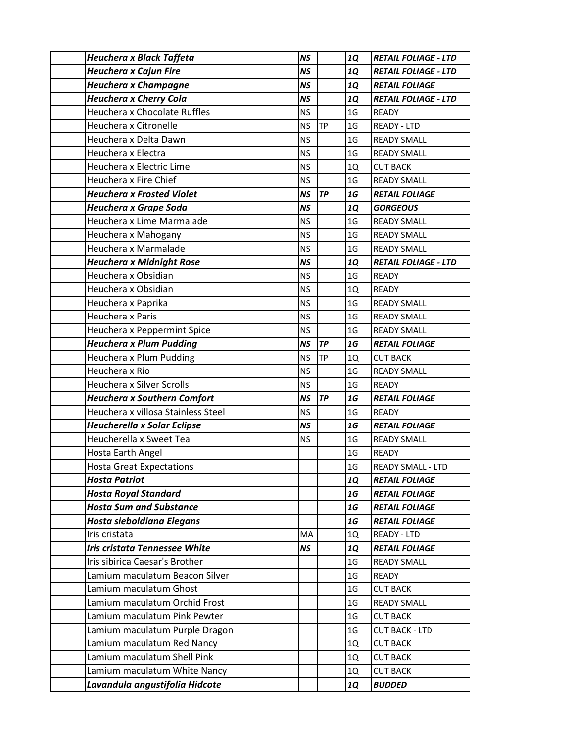| Heuchera x Black Taffeta             | <b>NS</b> |           | <b>1Q</b>      | <b>RETAIL FOLIAGE - LTD</b> |
|--------------------------------------|-----------|-----------|----------------|-----------------------------|
| <b>Heuchera x Cajun Fire</b>         | <b>NS</b> |           | <b>1Q</b>      | <b>RETAIL FOLIAGE - LTD</b> |
| <b>Heuchera x Champagne</b>          | <b>NS</b> |           | <b>1Q</b>      | <b>RETAIL FOLIAGE</b>       |
| <b>Heuchera x Cherry Cola</b>        | <b>NS</b> |           | <b>1Q</b>      | <b>RETAIL FOLIAGE - LTD</b> |
| Heuchera x Chocolate Ruffles         | <b>NS</b> |           | 1 <sub>G</sub> | <b>READY</b>                |
| Heuchera x Citronelle                | <b>NS</b> | <b>TP</b> | 1 <sub>G</sub> | <b>READY - LTD</b>          |
| Heuchera x Delta Dawn                | <b>NS</b> |           | 1 <sub>G</sub> | <b>READY SMALL</b>          |
| Heuchera x Electra                   | <b>NS</b> |           | 1 <sub>G</sub> | <b>READY SMALL</b>          |
| Heuchera x Electric Lime             | <b>NS</b> |           | 1Q             | <b>CUT BACK</b>             |
| Heuchera x Fire Chief                | <b>NS</b> |           | 1 <sub>G</sub> | <b>READY SMALL</b>          |
| <b>Heuchera x Frosted Violet</b>     | <b>NS</b> | <b>TP</b> | 1G             | <b>RETAIL FOLIAGE</b>       |
| Heuchera x Grape Soda                | <b>NS</b> |           | <b>1Q</b>      | <b>GORGEOUS</b>             |
| Heuchera x Lime Marmalade            | <b>NS</b> |           | 1 <sub>G</sub> | <b>READY SMALL</b>          |
| Heuchera x Mahogany                  | <b>NS</b> |           | 1 <sub>G</sub> | <b>READY SMALL</b>          |
| Heuchera x Marmalade                 | <b>NS</b> |           | 1 <sub>G</sub> | <b>READY SMALL</b>          |
| <b>Heuchera x Midnight Rose</b>      | <b>NS</b> |           | <b>1Q</b>      | <b>RETAIL FOLIAGE - LTD</b> |
| Heuchera x Obsidian                  | <b>NS</b> |           | 1 <sub>G</sub> | <b>READY</b>                |
| Heuchera x Obsidian                  | <b>NS</b> |           | 1Q             | <b>READY</b>                |
| Heuchera x Paprika                   | <b>NS</b> |           | 1 <sub>G</sub> | <b>READY SMALL</b>          |
| Heuchera x Paris                     | <b>NS</b> |           | 1 <sub>G</sub> | <b>READY SMALL</b>          |
| Heuchera x Peppermint Spice          | <b>NS</b> |           | 1 <sub>G</sub> | <b>READY SMALL</b>          |
| <b>Heuchera x Plum Pudding</b>       | <b>NS</b> | <b>TP</b> | 1G             | <b>RETAIL FOLIAGE</b>       |
| Heuchera x Plum Pudding              | <b>NS</b> | <b>TP</b> | 1Q             | <b>CUT BACK</b>             |
| Heuchera x Rio                       | <b>NS</b> |           | 1 <sub>G</sub> | <b>READY SMALL</b>          |
| Heuchera x Silver Scrolls            | <b>NS</b> |           | 1 <sub>G</sub> | <b>READY</b>                |
| <b>Heuchera x Southern Comfort</b>   | <b>NS</b> | <b>TP</b> | 1G             | <b>RETAIL FOLIAGE</b>       |
| Heuchera x villosa Stainless Steel   | <b>NS</b> |           | 1 <sub>G</sub> | <b>READY</b>                |
| <b>Heucherella x Solar Eclipse</b>   | <b>NS</b> |           | 1G             | <b>RETAIL FOLIAGE</b>       |
| Heucherella x Sweet Tea              | <b>NS</b> |           | 1 <sub>G</sub> | <b>READY SMALL</b>          |
| Hosta Earth Angel                    |           |           | 1 <sub>G</sub> | <b>READY</b>                |
| <b>Hosta Great Expectations</b>      |           |           | 1 <sub>G</sub> | <b>READY SMALL - LTD</b>    |
| <b>Hosta Patriot</b>                 |           |           | <b>1Q</b>      | <b>RETAIL FOLIAGE</b>       |
| <b>Hosta Royal Standard</b>          |           |           | 1G             | <b>RETAIL FOLIAGE</b>       |
| <b>Hosta Sum and Substance</b>       |           |           | 1G             | <b>RETAIL FOLIAGE</b>       |
| Hosta sieboldiana Elegans            |           |           | 1G             | <b>RETAIL FOLIAGE</b>       |
| Iris cristata                        | MA        |           | 1Q             | <b>READY - LTD</b>          |
| <b>Iris cristata Tennessee White</b> | <b>NS</b> |           | <b>1Q</b>      | <b>RETAIL FOLIAGE</b>       |
| Iris sibirica Caesar's Brother       |           |           | 1 <sub>G</sub> | <b>READY SMALL</b>          |
| Lamium maculatum Beacon Silver       |           |           | 1 <sub>G</sub> | READY                       |
| Lamium maculatum Ghost               |           |           | 1 <sub>G</sub> | <b>CUT BACK</b>             |
| Lamium maculatum Orchid Frost        |           |           | 1 <sub>G</sub> | <b>READY SMALL</b>          |
| Lamium maculatum Pink Pewter         |           |           | 1 <sub>G</sub> | <b>CUT BACK</b>             |
| Lamium maculatum Purple Dragon       |           |           | 1 <sub>G</sub> | <b>CUT BACK - LTD</b>       |
| Lamium maculatum Red Nancy           |           |           | 1Q             | <b>CUT BACK</b>             |
| Lamium maculatum Shell Pink          |           |           | 1Q             | <b>CUT BACK</b>             |
| Lamium maculatum White Nancy         |           |           | 1Q             | <b>CUT BACK</b>             |
| Lavandula angustifolia Hidcote       |           |           | 1Q             | <b>BUDDED</b>               |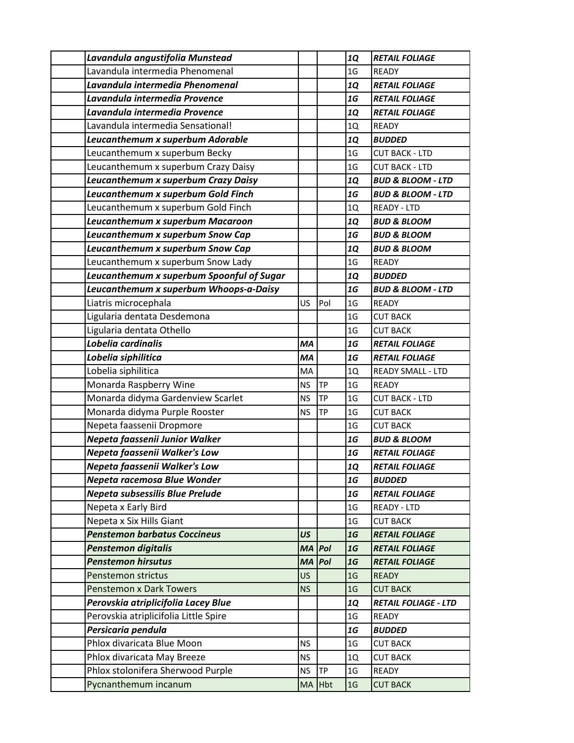| Lavandula angustifolia Munstead           |           |           | <b>1Q</b>       | <b>RETAIL FOLIAGE</b>        |
|-------------------------------------------|-----------|-----------|-----------------|------------------------------|
| Lavandula intermedia Phenomenal           |           |           | 1 <sub>G</sub>  | <b>READY</b>                 |
| Lavandula intermedia Phenomenal           |           |           | <b>1Q</b>       | <b>RETAIL FOLIAGE</b>        |
| Lavandula intermedia Provence             |           |           | 1G              | <b>RETAIL FOLIAGE</b>        |
| Lavandula intermedia Provence             |           |           | <b>1Q</b>       | <b>RETAIL FOLIAGE</b>        |
| Lavandula intermedia Sensational!         |           |           | 1Q              | <b>READY</b>                 |
| Leucanthemum x superbum Adorable          |           |           | <b>1Q</b>       | <b>BUDDED</b>                |
| Leucanthemum x superbum Becky             |           |           | 1 <sub>G</sub>  | <b>CUT BACK - LTD</b>        |
| Leucanthemum x superbum Crazy Daisy       |           |           | 1 <sub>G</sub>  | <b>CUT BACK - LTD</b>        |
| Leucanthemum x superbum Crazy Daisy       |           |           | <b>1Q</b>       | <b>BUD &amp; BLOOM - LTD</b> |
| Leucanthemum x superbum Gold Finch        |           |           | 1G              | <b>BUD &amp; BLOOM - LTD</b> |
| Leucanthemum x superbum Gold Finch        |           |           | 1Q              | <b>READY - LTD</b>           |
| Leucanthemum x superbum Macaroon          |           |           | <b>1Q</b>       | <b>BUD &amp; BLOOM</b>       |
| Leucanthemum x superbum Snow Cap          |           |           | 1G              | <b>BUD &amp; BLOOM</b>       |
| Leucanthemum x superbum Snow Cap          |           |           | <b>1Q</b>       | <b>BUD &amp; BLOOM</b>       |
| Leucanthemum x superbum Snow Lady         |           |           | 1 <sub>G</sub>  | <b>READY</b>                 |
| Leucanthemum x superbum Spoonful of Sugar |           |           | <b>1Q</b>       | <b>BUDDED</b>                |
| Leucanthemum x superbum Whoops-a-Daisy    |           |           | 1G              | <b>BUD &amp; BLOOM - LTD</b> |
| Liatris microcephala                      | US        | Pol       | 1 <sub>G</sub>  | <b>READY</b>                 |
| Ligularia dentata Desdemona               |           |           | 1 <sub>G</sub>  | <b>CUT BACK</b>              |
| Ligularia dentata Othello                 |           |           | 1 <sub>G</sub>  | <b>CUT BACK</b>              |
| Lobelia cardinalis                        | MA        |           | 1G              | <b>RETAIL FOLIAGE</b>        |
| Lobelia siphilitica                       | MA        |           | 1G              | <b>RETAIL FOLIAGE</b>        |
| Lobelia siphilitica                       | MA        |           | 1Q              | <b>READY SMALL - LTD</b>     |
| Monarda Raspberry Wine                    | <b>NS</b> | <b>TP</b> | 1 <sub>G</sub>  | <b>READY</b>                 |
| Monarda didyma Gardenview Scarlet         | <b>NS</b> | <b>TP</b> | 1 <sub>G</sub>  | <b>CUT BACK - LTD</b>        |
| Monarda didyma Purple Rooster             | <b>NS</b> | TP        | 1 <sub>G</sub>  | <b>CUT BACK</b>              |
| Nepeta faassenii Dropmore                 |           |           | 1 <sub>G</sub>  | <b>CUT BACK</b>              |
| Nepeta faassenii Junior Walker            |           |           | 1G              | <b>BUD &amp; BLOOM</b>       |
| Nepeta faassenii Walker's Low             |           |           | 1G              | <b>RETAIL FOLIAGE</b>        |
| Nepeta faassenii Walker's Low             |           |           | <b>1Q</b>       | <b>RETAIL FOLIAGE</b>        |
| Nepeta racemosa Blue Wonder               |           |           | 1G              | <b>BUDDED</b>                |
| Nepeta subsessilis Blue Prelude           |           |           | 1G              | <b>RETAIL FOLIAGE</b>        |
| Nepeta x Early Bird                       |           |           | 1 <sub>G</sub>  | READY - LTD                  |
| Nepeta x Six Hills Giant                  |           |           | $1\,\mathrm{G}$ | <b>CUT BACK</b>              |
| <b>Penstemon barbatus Coccineus</b>       | US        |           | 1G              | <b>RETAIL FOLIAGE</b>        |
| <b>Penstemon digitalis</b>                | <b>MA</b> | Pol       | 1G              | <b>RETAIL FOLIAGE</b>        |
| <b>Penstemon hirsutus</b>                 | <b>MA</b> | Pol       | 1G              | <b>RETAIL FOLIAGE</b>        |
| Penstemon strictus                        | <b>US</b> |           | 1 <sub>G</sub>  | <b>READY</b>                 |
| <b>Penstemon x Dark Towers</b>            | <b>NS</b> |           | 1 <sub>G</sub>  | <b>CUT BACK</b>              |
| Perovskia atriplicifolia Lacey Blue       |           |           | <b>1Q</b>       | <b>RETAIL FOLIAGE - LTD</b>  |
| Perovskia atriplicifolia Little Spire     |           |           | 1G              | <b>READY</b>                 |
| Persicaria pendula                        |           |           | 1G              | <b>BUDDED</b>                |
| Phlox divaricata Blue Moon                | <b>NS</b> |           | 1 <sub>G</sub>  | <b>CUT BACK</b>              |
| Phlox divaricata May Breeze               | <b>NS</b> |           | 1Q              | <b>CUT BACK</b>              |
| Phlox stolonifera Sherwood Purple         | <b>NS</b> | TP        | 1 <sub>G</sub>  | <b>READY</b>                 |
| Pycnanthemum incanum                      |           | MA Hbt    | 1 <sub>G</sub>  | <b>CUT BACK</b>              |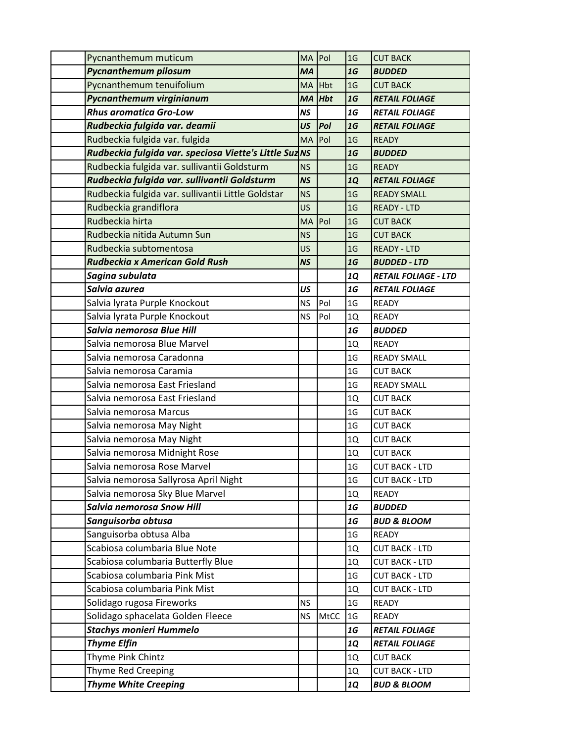| Pycnanthemum muticum                                   | MA Pol    |      | 1 <sub>G</sub> | <b>CUT BACK</b>             |
|--------------------------------------------------------|-----------|------|----------------|-----------------------------|
| <b>Pycnanthemum pilosum</b>                            | <b>MA</b> |      | 1G             | <b>BUDDED</b>               |
| Pycnanthemum tenuifolium                               | MA Hbt    |      | 1 <sub>G</sub> | <b>CUT BACK</b>             |
| Pycnanthemum virginianum                               | <b>MA</b> | Hbt  | 1G             | <b>RETAIL FOLIAGE</b>       |
| <b>Rhus aromatica Gro-Low</b>                          | <b>NS</b> |      | 1G             | <b>RETAIL FOLIAGE</b>       |
| Rudbeckia fulgida var. deamii                          | US        | Pol  | 1G             | <b>RETAIL FOLIAGE</b>       |
| Rudbeckia fulgida var. fulgida                         | MA Pol    |      | 1 <sub>G</sub> | <b>READY</b>                |
| Rudbeckia fulgida var. speciosa Viette's Little Suz NS |           |      | 1G             | <b>BUDDED</b>               |
| Rudbeckia fulgida var. sullivantii Goldsturm           | <b>NS</b> |      | 1 <sub>G</sub> | <b>READY</b>                |
| Rudbeckia fulgida var. sullivantii Goldsturm           | <b>NS</b> |      | <b>1Q</b>      | <b>RETAIL FOLIAGE</b>       |
| Rudbeckia fulgida var. sullivantii Little Goldstar     | <b>NS</b> |      | 1 <sub>G</sub> | <b>READY SMALL</b>          |
| Rudbeckia grandiflora                                  | <b>US</b> |      | 1 <sub>G</sub> | <b>READY - LTD</b>          |
| Rudbeckia hirta                                        | <b>MA</b> | Pol  | 1 <sub>G</sub> | <b>CUT BACK</b>             |
| Rudbeckia nitida Autumn Sun                            | <b>NS</b> |      | 1 <sub>G</sub> | <b>CUT BACK</b>             |
| Rudbeckia subtomentosa                                 | <b>US</b> |      | 1 <sub>G</sub> | <b>READY - LTD</b>          |
| Rudbeckia x American Gold Rush                         | <b>NS</b> |      | 1G             | <b>BUDDED - LTD</b>         |
| Sagina subulata                                        |           |      | <b>1Q</b>      | <b>RETAIL FOLIAGE - LTD</b> |
| Salvia azurea                                          | US        |      | 1G             | <b>RETAIL FOLIAGE</b>       |
| Salvia lyrata Purple Knockout                          | <b>NS</b> | Pol  | 1 <sub>G</sub> | <b>READY</b>                |
| Salvia lyrata Purple Knockout                          | <b>NS</b> | Pol  | 1Q             | READY                       |
| Salvia nemorosa Blue Hill                              |           |      | 1G             | <b>BUDDED</b>               |
| Salvia nemorosa Blue Marvel                            |           |      | 1Q             | <b>READY</b>                |
| Salvia nemorosa Caradonna                              |           |      | 1 <sub>G</sub> | <b>READY SMALL</b>          |
| Salvia nemorosa Caramia                                |           |      | 1 <sub>G</sub> | <b>CUT BACK</b>             |
| Salvia nemorosa East Friesland                         |           |      | 1 <sub>G</sub> | <b>READY SMALL</b>          |
| Salvia nemorosa East Friesland                         |           |      | 1Q             | <b>CUT BACK</b>             |
| Salvia nemorosa Marcus                                 |           |      | 1 <sub>G</sub> | <b>CUT BACK</b>             |
| Salvia nemorosa May Night                              |           |      | 1 <sub>G</sub> | <b>CUT BACK</b>             |
| Salvia nemorosa May Night                              |           |      | 1Q             | <b>CUT BACK</b>             |
| Salvia nemorosa Midnight Rose                          |           |      | 1Q             | <b>CUT BACK</b>             |
| Salvia nemorosa Rose Marvel                            |           |      | 1 <sub>G</sub> | <b>CUT BACK - LTD</b>       |
| Salvia nemorosa Sallyrosa April Night                  |           |      | $1\,\rm{G}$    | <b>CUT BACK - LTD</b>       |
| Salvia nemorosa Sky Blue Marvel                        |           |      | 1Q             | <b>READY</b>                |
| <b>Salvia nemorosa Snow Hill</b>                       |           |      | 1G             | <b>BUDDED</b>               |
| Sanguisorba obtusa                                     |           |      | 1G             | <b>BUD &amp; BLOOM</b>      |
| Sanguisorba obtusa Alba                                |           |      | 1 <sub>G</sub> | <b>READY</b>                |
| Scabiosa columbaria Blue Note                          |           |      | 1Q             | <b>CUT BACK - LTD</b>       |
| Scabiosa columbaria Butterfly Blue                     |           |      | 1Q             | <b>CUT BACK - LTD</b>       |
| Scabiosa columbaria Pink Mist                          |           |      | 1 <sub>G</sub> | <b>CUT BACK - LTD</b>       |
| Scabiosa columbaria Pink Mist                          |           |      | 1Q             | <b>CUT BACK - LTD</b>       |
| Solidago rugosa Fireworks                              | <b>NS</b> |      | 1 <sub>G</sub> | READY                       |
| Solidago sphacelata Golden Fleece                      | <b>NS</b> | MtCC | 1 <sub>G</sub> | <b>READY</b>                |
| <b>Stachys monieri Hummelo</b>                         |           |      | 1G             | <b>RETAIL FOLIAGE</b>       |
| <b>Thyme Elfin</b>                                     |           |      | <b>1Q</b>      | <b>RETAIL FOLIAGE</b>       |
| Thyme Pink Chintz                                      |           |      | 1Q             | <b>CUT BACK</b>             |
| <b>Thyme Red Creeping</b>                              |           |      | 1Q             | <b>CUT BACK - LTD</b>       |
| <b>Thyme White Creeping</b>                            |           |      | 1Q             | <b>BUD &amp; BLOOM</b>      |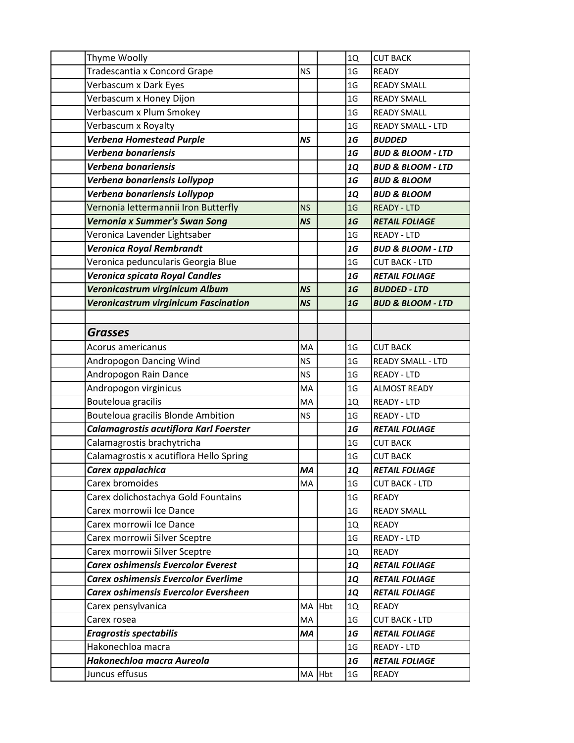| Thyme Woolly                                |           | 1Q             | <b>CUT BACK</b>              |
|---------------------------------------------|-----------|----------------|------------------------------|
| Tradescantia x Concord Grape                | <b>NS</b> | 1 <sub>G</sub> | <b>READY</b>                 |
| Verbascum x Dark Eyes                       |           | 1 <sub>G</sub> | <b>READY SMALL</b>           |
| Verbascum x Honey Dijon                     |           | 1 <sub>G</sub> | <b>READY SMALL</b>           |
| Verbascum x Plum Smokey                     |           | 1 <sub>G</sub> | <b>READY SMALL</b>           |
| Verbascum x Royalty                         |           | 1 <sub>G</sub> | <b>READY SMALL - LTD</b>     |
| <b>Verbena Homestead Purple</b>             | <b>NS</b> | 1G             | <b>BUDDED</b>                |
| Verbena bonariensis                         |           | 1G             | <b>BUD &amp; BLOOM - LTD</b> |
| Verbena bonariensis                         |           | <b>1Q</b>      | <b>BUD &amp; BLOOM - LTD</b> |
| Verbena bonariensis Lollypop                |           | 1G             | <b>BUD &amp; BLOOM</b>       |
| Verbena bonariensis Lollypop                |           | <b>1Q</b>      | <b>BUD &amp; BLOOM</b>       |
| Vernonia lettermannii Iron Butterfly        | <b>NS</b> | 1 <sub>G</sub> | <b>READY - LTD</b>           |
| Vernonia x Summer's Swan Song               | <b>NS</b> | 1G             | <b>RETAIL FOLIAGE</b>        |
| Veronica Lavender Lightsaber                |           | 1 <sub>G</sub> | <b>READY - LTD</b>           |
| <b>Veronica Royal Rembrandt</b>             |           | 1G             | <b>BUD &amp; BLOOM - LTD</b> |
| Veronica peduncularis Georgia Blue          |           | 1 <sub>G</sub> | <b>CUT BACK - LTD</b>        |
| Veronica spicata Royal Candles              |           | 1G             | <b>RETAIL FOLIAGE</b>        |
| Veronicastrum virginicum Album              | <b>NS</b> | 1G             | <b>BUDDED - LTD</b>          |
| <b>Veronicastrum virginicum Fascination</b> | <b>NS</b> | 1G             | <b>BUD &amp; BLOOM - LTD</b> |
|                                             |           |                |                              |
| <b>Grasses</b>                              |           |                |                              |
| Acorus americanus                           | MA        | 1 <sub>G</sub> | <b>CUT BACK</b>              |
| Andropogon Dancing Wind                     | <b>NS</b> | 1 <sub>G</sub> | <b>READY SMALL - LTD</b>     |
| Andropogon Rain Dance                       | <b>NS</b> | 1 <sub>G</sub> | <b>READY - LTD</b>           |
| Andropogon virginicus                       | MA        | 1 <sub>G</sub> | <b>ALMOST READY</b>          |
| Bouteloua gracilis                          | MA        | 1Q             | <b>READY - LTD</b>           |
| Bouteloua gracilis Blonde Ambition          | <b>NS</b> | 1 <sub>G</sub> | <b>READY - LTD</b>           |
| Calamagrostis acutiflora Karl Foerster      |           | 1G             | <b>RETAIL FOLIAGE</b>        |
| Calamagrostis brachytricha                  |           | 1 <sub>G</sub> | <b>CUT BACK</b>              |
| Calamagrostis x acutiflora Hello Spring     |           | 1 <sub>G</sub> | <b>CUT BACK</b>              |
| Carex appalachica                           | MA        | <b>1Q</b>      | <b>RETAIL FOLIAGE</b>        |
| Carex bromoides                             | MA        | 1G             | <b>CUT BACK - LTD</b>        |
| Carex dolichostachya Gold Fountains         |           | 1 <sub>G</sub> | READY                        |
| Carex morrowii Ice Dance                    |           | 1 <sub>G</sub> | <b>READY SMALL</b>           |
| Carex morrowii Ice Dance                    |           | 1Q             | <b>READY</b>                 |
| Carex morrowii Silver Sceptre               |           | 1 <sub>G</sub> | <b>READY - LTD</b>           |
| Carex morrowii Silver Sceptre               |           | 1Q             | <b>READY</b>                 |
| <b>Carex oshimensis Evercolor Everest</b>   |           | <b>1Q</b>      | <b>RETAIL FOLIAGE</b>        |
| <b>Carex oshimensis Evercolor Everlime</b>  |           | <b>1Q</b>      | <b>RETAIL FOLIAGE</b>        |
| <b>Carex oshimensis Evercolor Eversheen</b> |           | <b>1Q</b>      | <b>RETAIL FOLIAGE</b>        |
| Carex pensylvanica                          | MA Hbt    | 1Q             | <b>READY</b>                 |
| Carex rosea                                 | MA        | 1G             | <b>CUT BACK - LTD</b>        |
| <b>Eragrostis spectabilis</b>               | MA        | 1G             | <b>RETAIL FOLIAGE</b>        |
| Hakonechloa macra                           |           | 1 <sub>G</sub> | READY - LTD                  |
| Hakonechloa macra Aureola                   |           | 1G             | <b>RETAIL FOLIAGE</b>        |
| Juncus effusus                              | MA Hbt    | 1 <sub>G</sub> | READY                        |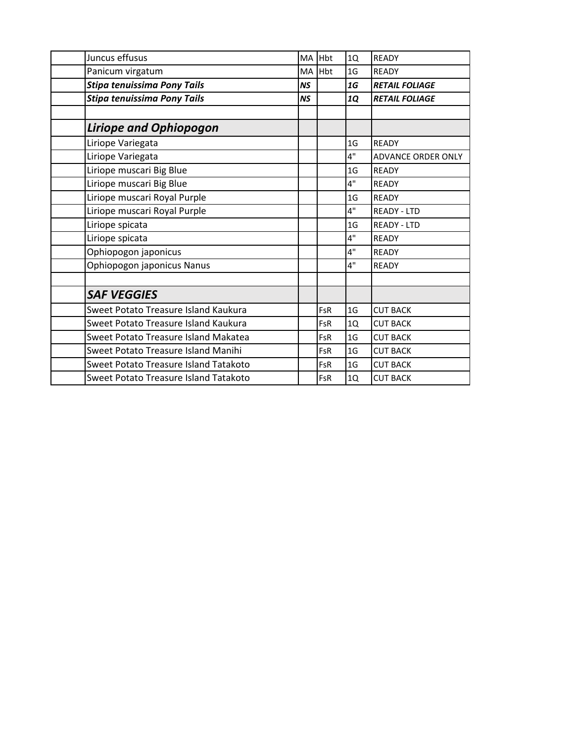| Juncus effusus                        | <b>MA</b> | <b>Hbt</b> | 1Q             | <b>READY</b>              |
|---------------------------------------|-----------|------------|----------------|---------------------------|
| Panicum virgatum                      | MA        | <b>Hbt</b> | 1G             | <b>READY</b>              |
| <b>Stipa tenuissima Pony Tails</b>    | <b>NS</b> |            | 1G             | <b>RETAIL FOLIAGE</b>     |
| Stipa tenuissima Pony Tails           | <b>NS</b> |            | 1Q             | <b>RETAIL FOLIAGE</b>     |
|                                       |           |            |                |                           |
| <b>Liriope and Ophiopogon</b>         |           |            |                |                           |
| Liriope Variegata                     |           |            | 1 <sub>G</sub> | <b>READY</b>              |
| Liriope Variegata                     |           |            | 4"             | <b>ADVANCE ORDER ONLY</b> |
| Liriope muscari Big Blue              |           |            | 1G             | <b>READY</b>              |
| Liriope muscari Big Blue              |           |            | 4"             | <b>READY</b>              |
| Liriope muscari Royal Purple          |           |            | 1G             | <b>READY</b>              |
| Liriope muscari Royal Purple          |           |            | 4"             | <b>READY - LTD</b>        |
| Liriope spicata                       |           |            | 1G             | <b>READY - LTD</b>        |
| Liriope spicata                       |           |            | 4"             | <b>READY</b>              |
| Ophiopogon japonicus                  |           |            | 4"             | <b>READY</b>              |
| Ophiopogon japonicus Nanus            |           |            | 4"             | <b>READY</b>              |
|                                       |           |            |                |                           |
| <b>SAF VEGGIES</b>                    |           |            |                |                           |
| Sweet Potato Treasure Island Kaukura  |           | <b>FsR</b> | 1G             | <b>CUT BACK</b>           |
| Sweet Potato Treasure Island Kaukura  |           | <b>FsR</b> | 1Q             | <b>CUT BACK</b>           |
| Sweet Potato Treasure Island Makatea  |           | <b>FsR</b> | 1 <sub>G</sub> | <b>CUT BACK</b>           |
| Sweet Potato Treasure Island Manihi   |           | <b>FsR</b> | 1 <sub>G</sub> | <b>CUT BACK</b>           |
| Sweet Potato Treasure Island Tatakoto |           | FsR        | 1 <sub>G</sub> | <b>CUT BACK</b>           |
| Sweet Potato Treasure Island Tatakoto |           | FsR        | 1Q             | <b>CUT BACK</b>           |